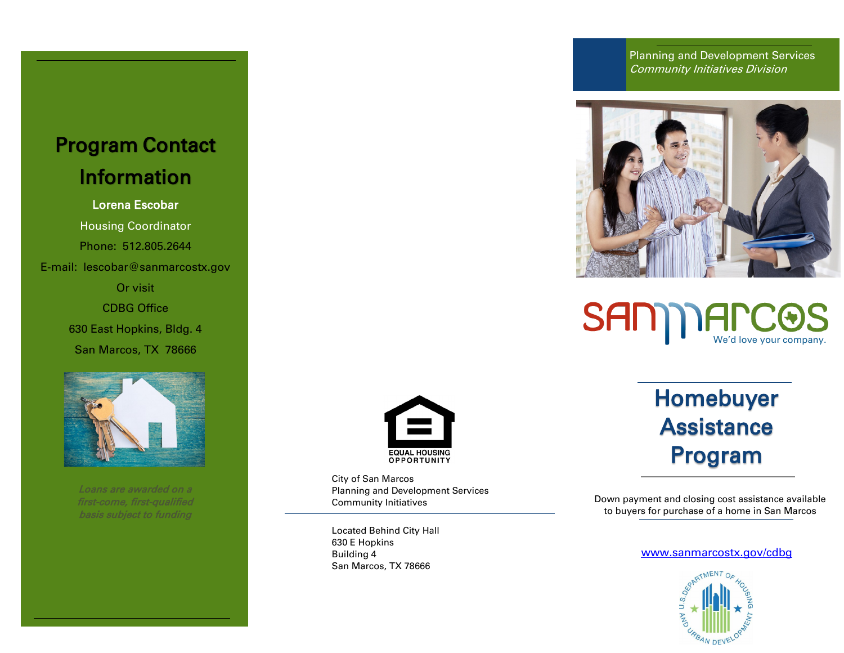## Program Contact Information

### Lorena Escobar

Housing Coordinator Phone: 512.805.2644 E-mail: lescobar@sanmarcostx.gov

> Or visit CDBG Office 630 East Hopkins, Bldg. 4 San Marcos, TX 78666



Loans are awarded on a basis subject to funding



City of San Marcos Planning and Development Services Community Initiatives

Located Behind City Hall 630 E Hopkins Building 4 San Marcos, TX 78666

Planning and Development Services Community Initiatives Division





# Homebuyer **Assistance** Program

Down payment and closing cost assistance available to buyers for purchase of a home in San Marcos

#### [www.sanmarcostx.gov/cdbg](http://www.sanmarcostx.gov/cdbg)